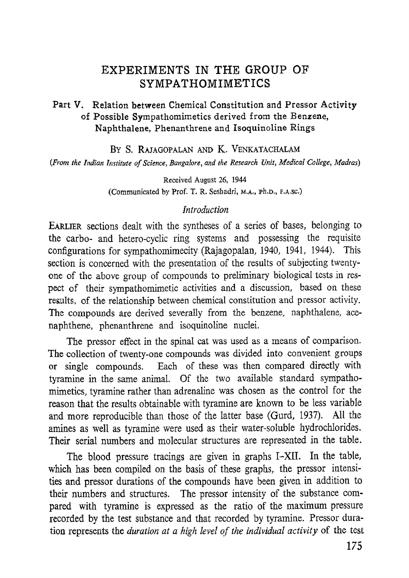# **EXPERIMENTS IN THE GROUP OF SYMPATHOMIMETICS**

## Part V. Relation between Chemical Constitution and Pressor Activity of Possible Sympathomimetics derived from the Benzene, Naphthalene, Phenanthrene and Isoquinoline Rings

BY S. RAJAGOPALAN AND K. VENKATACHALAM

*(From the Indian Institute of Science, Bangalore, and the Research Unit, Medical College, Madras)* 

Received August 26, 1944 (Communicated by Prof. T. R. Sesbadri, M.A., Ph.D., F.A.sc.)

### *Introduction*

EARLIER sections dealt with the syntheses of a series of bases, belonging to the carbo-and hetero-cyclic ring systems and possessing the requisite configurations for sympathomimedty (Rajagopalan, 1940, I941, 1944). This section is concerned with the presentation of the results of subjecting twentyone of the above group of compounds to preliminary biological tests in respect of their sympathomimetic activities and a discussion, based on these results, of the relationship between chemical constitution and pressor activity. The compounds are derived severally from the benzene, naphthalene, acenaphthene, phenanthrene and isoquinoline nuclei.

The pressor effect in the spinal cat was used as a means of comparison. The collection of twenty-one compounds was divided into convenient groups or single compounds. Each of these was then compared directly with tyramine in the same animaI. Of the two available standard sympathomimetics, tyramine rather than adrenaline was chosen as the control for the reason that the results obtainable with tyramine are known to be less variable and more reproducible than those of the latter base (Gurd, 1937). All the amines as well as tyramine were used as their water-soluble hydrochlorides. Their serial numbers and molecular structures are represented in the table.

The blood pressure tracings are given in graphs I-XII. In the table, which has been compiled on the basis of these graphs, the pressor intensities and pressor durations of the compounds have been given in addition to their numbers and structures. The pressor intensity of the substance compared with tyramine is expressed as the ratio of the maximum pressure recorded by the test substance and that recorded by tyramine. Pressor duration represents the *duration at a high level qf the individual activity* of the test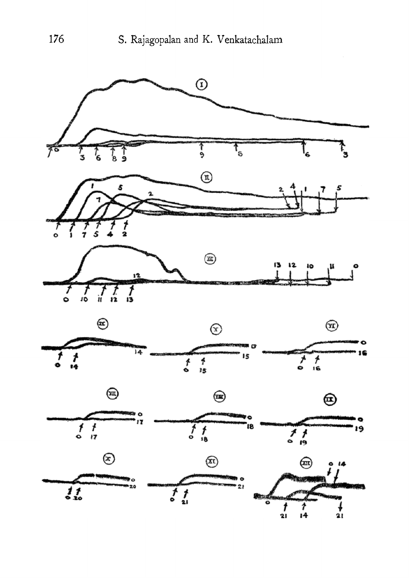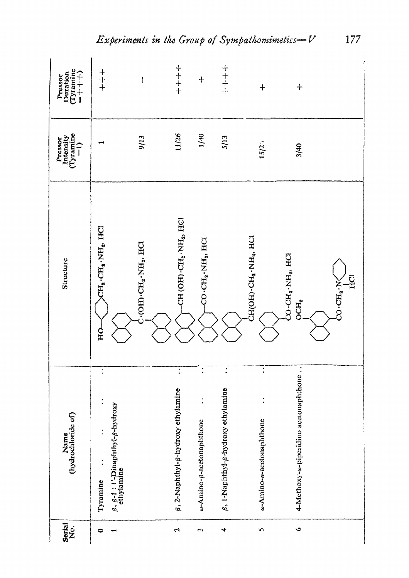| Serial<br>No.  | Name<br>(hydrochloride of)                                           | Structure                                            | (Tyramine<br>Pressor<br>Intensity<br>$\widehat{=}$ | (Tyramine<br>Pressor<br>Duration<br>(十十十丨 |
|----------------|----------------------------------------------------------------------|------------------------------------------------------|----------------------------------------------------|-------------------------------------------|
| $\bullet$      | $\ddot{\cdot}$<br>$\ddot{\cdot}$<br>Tyramine                         | CH, CH, NH, HC<br>HO.                                |                                                    | $+$<br>$+$<br>$+$                         |
|                | $\beta$ , $\beta$ -1 : 1'-Dinaphthyl- $\beta$ -hydroxy<br>ethylamine |                                                      |                                                    |                                           |
|                |                                                                      | CH).CH2.NH <sub>2</sub> , HCl                        | 9/13                                               | $+$                                       |
|                |                                                                      |                                                      |                                                    |                                           |
| 2              | $\ddot{\cdot}$<br>g, 2-Naphthyl-g-hydroxy ethylamine                 | CH (OH) · CH <sub>2</sub> · NH <sub>2</sub> , HCl    | 11/26                                              | $+ + + +$                                 |
| $\mathfrak{m}$ | $\ddot{\cdot}$<br>w-Amino-g-acetonaphthone                           | $CO·CH_3·NH_3$ , HCl                                 | 1/40                                               | $+$                                       |
| 4              | $\ddot{\cdot}$<br>$\beta$ , 1-Naphthyl- $\beta$ -hydroxy ethylamine  |                                                      | 5/13                                               | $+ + +$                                   |
| S              | $\ddot{\cdot}$<br>a-Amino-a-acetonaphthone                           | CH(OH) -CH2 - NH <sub>2</sub> , HCl                  | 15/25                                              | $\div$                                    |
| $\circ$        | 4-Methoxy-w-piperidino acetonaphthone                                | $CO \cdot CH_2 \cdot NH_2$ , HCl<br>OCH <sub>3</sub> | 3/40                                               | $\ddag$                                   |
|                |                                                                      | <b>ZH</b><br>CO·CH <sub>3</sub> ·N<                  |                                                    |                                           |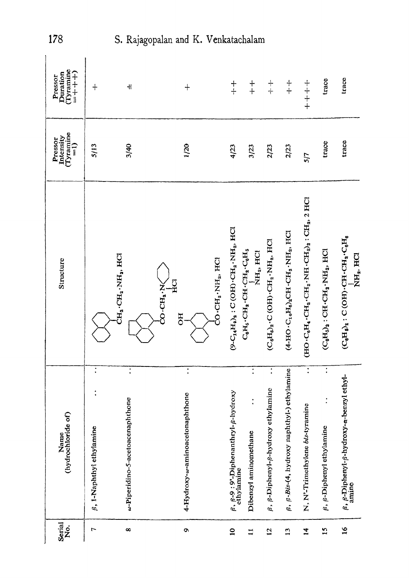| Serial<br>.<br>Ž | (hydrochloride of)<br>Name                                                 | Structure                                                                                                                                                                                                                                                                                                     | (Tyramine<br>Intensity<br>Pressor<br>$\widehat{=}$ | (Tyramine<br>$+$<br>$+$<br>$+$<br>$+$<br>$+$<br>$+$<br><br>$+$<br><br><br><br><br><br><br><br><br><br><br><br><br><br><br><br><br>Duration<br>Pressor |
|------------------|----------------------------------------------------------------------------|---------------------------------------------------------------------------------------------------------------------------------------------------------------------------------------------------------------------------------------------------------------------------------------------------------------|----------------------------------------------------|-------------------------------------------------------------------------------------------------------------------------------------------------------|
| 7                | $\ddot{\cdot}$<br>8, 1-Naphthyl ethylamine                                 |                                                                                                                                                                                                                                                                                                               | 5/13                                               | $\pm$                                                                                                                                                 |
| $\infty$         | $\ddot{\cdot}$<br>w-Piperidino-5-acetoacenaphthone                         | $CH_3 \cdot CH_2 \cdot NH_3$ , HCl                                                                                                                                                                                                                                                                            | 3/40                                               | $\frac{1}{2}$                                                                                                                                         |
| Ó                | $\ddot{\cdot}$<br>4-Hydroxy-w-aminoacetonaphthone                          | CO·CH <sub>2</sub> ·NH <sub>2</sub> , HCl<br>HCI<br>CO-CH3 N<br><b>DH</b>                                                                                                                                                                                                                                     | 1/20                                               | $+$                                                                                                                                                   |
| $\mathbf{a}$     | 8, 8-9: 9'-Diphenanthryl- 8-hydroxy<br>ethylamine                          | $(9-C1H9)3$ : $C(0H)$ . CHO, CH <sub>a</sub> . NH <sub>a</sub> .                                                                                                                                                                                                                                              | 4/23                                               | $+$                                                                                                                                                   |
| $\mathbf{1}$     | $\ddot{\cdot}$<br>Dibenzyl aminomethane                                    | $\mathrm{C_{6}H_{6}\text{-}CH_{2}\text{-}CH_{2}\text{-}CH_{2}\text{-}C_{6}H_{5}}$<br>NH <sub>2</sub> , HCl                                                                                                                                                                                                    | 3/23                                               | $+$                                                                                                                                                   |
| $\overline{2}$   | $\ddot{\cdot}$<br>$\beta$ , $\beta$ -Diphenyl- $\beta$ -hydroxy ethylamine | $(C_{\mathfrak s}H_{\mathfrak s})_{\mathfrak s}\cdot C(\mathrm{OH})\cdot \mathrm{CH}_{\mathfrak s}\cdot \mathrm{NH}_{\mathfrak s},\,\mathrm{HCl}$                                                                                                                                                             | 2/23                                               | $+$                                                                                                                                                   |
| 13               | 8, $\beta$ -Bis-(4, hydroxy naphthyl-) ethylamine                          | $(H,H_0,H_0)$ . HO $\cdot$ HO $\cdot$ HO $\cdot$ HO $\cdot$ HO $\cdot$ HO $\cdot$ HO $\cdot$ HO $\cdot$ HO $\cdot$ HO $\cdot$ HO $\cdot$ HO $\cdot$ HO $\cdot$ HO $\cdot$ HO $\cdot$ HO $\cdot$ HO $\cdot$ HO $\cdot$ HO $\cdot$ HO $\cdot$ HO $\cdot$ HO $\cdot$ HO $\cdot$ HO $\cdot$ HO $\cdot$ HO $\cdot$ | 2/23                                               | $+$                                                                                                                                                   |
| $\vec{z}$        | $\ddot{\cdot}$<br>N, N'-Trimethylene bis-tyramine                          | $(HO \cdot CH_4 \cdot CH_3 \cdot CH_2 \cdot NH_3)$ ; $CH_3$ , 2 HCl                                                                                                                                                                                                                                           | 5/7                                                | $++++$                                                                                                                                                |
| $\frac{5}{1}$    | $\ddot{\cdot}$<br>$\ddot{\cdot}$<br><sup>ß, ß-Diphenyl ethylamine</sup>    | $(C_6H_5)_a:CH_3\times H_2, H_3$                                                                                                                                                                                                                                                                              | trace                                              | trace                                                                                                                                                 |
| $\overline{16}$  | β, β-Diphenyl-β-hydroxy-α-benzyl ethyl-<br>amine                           | $(C_6H_6)_8 : C(OH)$ . CH. CH, $C_6H_6$<br>NH <sub>2</sub> , HCl                                                                                                                                                                                                                                              | trace                                              | trace                                                                                                                                                 |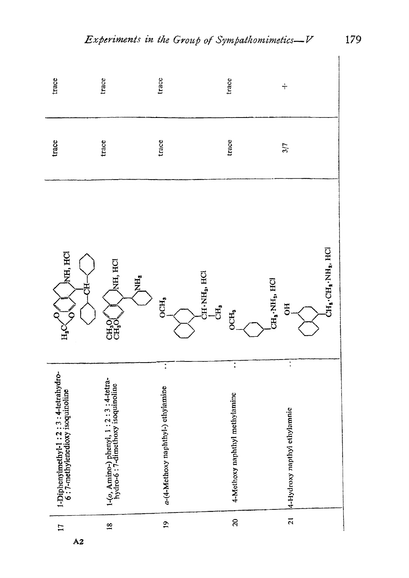

 $A2$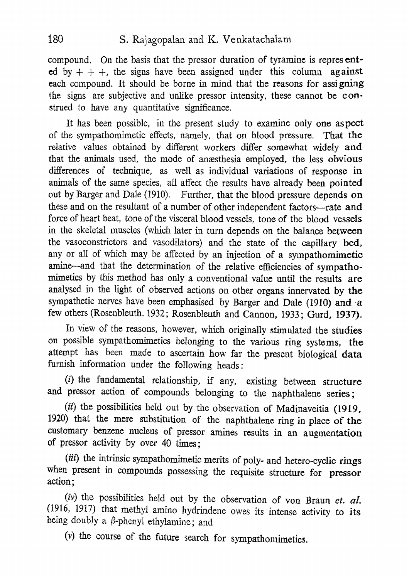compound. On the basis that the pressor duration of tyramine is repres ented by  $+ + +$ , the signs have been assigned under this column against each compound. It should be borne in mind that the reasons for assigning the signs are subjective and unlike pressor intensity, these cannot be construed to have any quantitative significance.

It has been possible, in the present study to examine only one aspect of the syrnpathomimetic effects, namely, that on blood pressure. That the relative values obtained by different workers differ somewhat widely and that the animals used, the mode of anesthesia employed, the less obvious differences of technique, as well as individual variations of response in animals of the same species, all affect the results have already been pointed out by Barger and Dale (1910). Further, that the blood pressure depends on these and on the resultant of a number of other independent factors--rate and force of heart beat, tone of the visceral blood vessels, tone of the blood vessels in the skeletal muscles (which later in turn depends on the balance between the vasoconstrictors and vasodilators) and the state of the capillary bed, any or all of which may be affected by an injection of a sympathomimetic amine--and that the determination of the relative efficiencies of sympathomimetics by this method has only a conventional value until the results are analysed in the light of observed actions on other organs innervated by the sympathetic nerves have been emphasised by Barger and Dale (1910) and a few others (Rosenbleuth, 1932; Rosenbleuth and Cannon, 1933; Gurd, 1937).

In view of the reasons, however, which originally stimulated the studies on possible sympathomimetics belonging to the various ring systems, the attempt has been made to ascertain how far the present biological data furnish information under the following heads:

 $(i)$  the fandamental relationship, if any, existing between structure and pressor action of compounds belonging to the naphthalene series;

*(ii)* the possibilities held out by the observation of Madinaveitia (1919, 1920) that the mere substitution of the naphthalene ring in place of the customary benzene nucleus of pressor amines results in an augmentation of pressor activity by over 40 times;

(iii) the intrinsic sympathomimetic merits of poly- and hetero-cyclic rings when present in compounds possessing the requisite structure for pressor action;

( $iv$ ) the possibilities held out by the observation of von Braun  $et.$   $al.$ (1916, 1917) that methyl amino hydrindene owes its intense activity to its being doubly a  $\beta$ -phenyl ethylamine; and

(v) the course of the future search for sympathomimetics.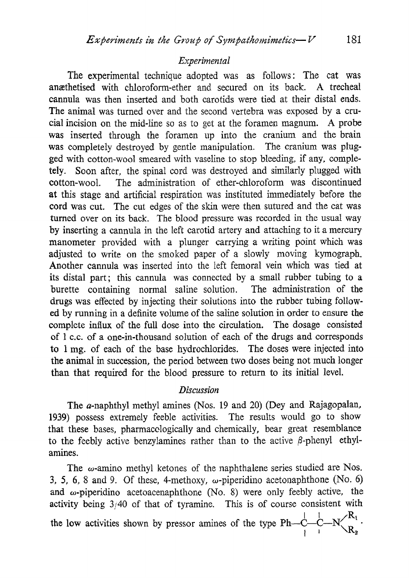#### *Experimental*

The experimental technique adopted was as follows: The cat was anæthetised with chloroform-ether and secured on its back. A trecheal cannula was then inserted and both carotids were tied at their distal ends. The animal was turned over and the second vertebra was exposed by a crucial incision on the mid-line so as to get at the foramen magnum. A probe was inserted through the foramen up into the cranium and the brain was completely destroyed by gentle manipulation. The cranium was plugged with cotton-wool smeared with vaseline to stop bleeding, if any, completely. Soon after, the spinal cord was destroyed and similarly plugged with cotton-wool. The administration of ether-chloroform was discontinued at this stage and artificial respiration was instituted immediately before the cord was cut. The cut edges of the skin were then sutured and the eat was turned over on its back. The blood pressure was recorded in the usual way by inserting a cannula in the left carotid artery and attaching to it a mercury manometer provided with a plunger carrying a writing point which was adjusted to write on the smoked paper of a slowly moving kymograph. Another cannula was inserted into the left femoral vein which was tied at its distal part; this cannula was connected by a small rubber tubing to a burette containing normal saline solution. The administration of the drugs was effected by injecting their solutions into the rubber tubing followed by running in a definite volume of the saline solution in order to ensure the complete influx of the full dose into the circulation. The dosage consisted of 1 c.c. of a one-in-thousand sotution of each of the drugs and corresponds to 1 mg. of each of the base hydrochlorides. The doses were injected into the animal in succession, the period between two doses being not much longer than that required for the blood pressure to return to its initial level.

#### *Discussion*

The a-naphthyl methyl amines (Nos. 19 and 20) (Dey and Rajagopalan, 1939) possess extremely feeble activities. The results would go to show that these bases, pharmacelogically and chemically, bear great resemblance to the feebly active benzylamines rather than to the active  $\beta$ -phenyl ethylamines.

The  $\omega$ -amino methyl ketones of the naphthalene series studied are Nos. 3, 5, 6, 8 and 9. Of these, 4-methoxy,  $\omega$ -piperidino acetonaphthone (No. 6) and  $\omega$ -piperidino acetoacenaphthone (No. 8) were only feebly active, the activity being 3/40 of that of tyramine. This is of course consistent with **I I ,'R1**  the low activities shown by pressor amines of the type Ph--C--C--N( $\frac{1}{n}$ .  $\mathbf{I}$  **i**  $\mathbf{K}_2$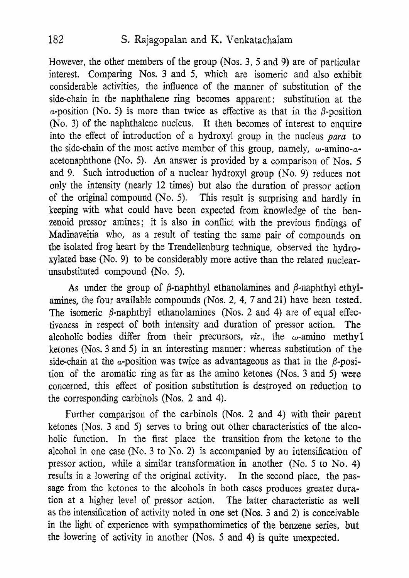However, the other members of the group (Nos. 3, 5 and 9) are of particular interest. Comparing Nos. 3 and 5, which are isomeric and also exhibit considerable activities, the influence of the manner of substitution of the side-chain in the naphthalene ring becomes apparent: substitution at the  $\alpha$ -position (No. 5) is more than twice as effective as that in the  $\beta$ -position (No. 3) of the naphthalene nucleus. It then becomes of interest to enquire into the effect of introduction of a hydroxyl group in the nucleus *para* to the side-chain of the most active member of this group, namely,  $\omega$ -amino- $\alpha$ acetonaphthone (No. 5). An answer is provided by a comparison of Nos. 5 and 9. Such introduction of a nuclear hydroxyl group (No. 9) reduces not only the intensity (nearly 12 times) but also the duration of pressor action of the original compound (No. 5). This result is surprising and hardly in keeping with what could have been expected from knowledge of the benzenoid pressor amines; it is also in conflict with the previous findings of Madinaveitia who, as a result of testing the same pair of compounds on the isolated frog heart by the Trendellenburg technique, observed the hydroxylated base (No. 9) to be considerably more active than the related nuclearunsubstituted compound (No. 5).

As under the group of  $\beta$ -naphthyl ethanolamines and  $\beta$ -naphthyl ethylamines, the four available compounds (Nos. 2, 4, 7 and 21) have been tested. The isomeric  $\beta$ -naphthyl ethanolamines (Nos. 2 and 4) are of equal effectiveness in respect of both intensity and duration of pressor action. The alcoholic bodies differ from their precursors,  $viz$ , the  $\omega$ -amino methyl ketones (Nos. 3 and 5) in an interesting manner: whereas substitution of the side-chain at the  $\alpha$ -position was twice as advantageous as that in the  $\beta$ -position of the aromatic ring as far as the amino ketones (Nos. 3 and 5) were concerned, this effect of position substitution is destroyed on reduction to the corresponding carbinols (Nos. 2 and 4).

Further comparison of the carbinols (Nos. 2 and 4) with their parent ketones (Nos. 3 and 5) serves to bring out other characteristics of the alcoholic function. In the first place the transition from the ketone to the alcohol in one case (No. 3 to No. 2) is accompanied by an intensification of pressor action, while a similar transformation in another (No. 5 to No. 4) results in a lowering of the original activity. In the second place, the passage from the ketones to the alcohols in both cases produces greater duration at a higher level of pressor action. The latter characteristic as well as the intensification of activity noted in one set (Nos. 3 and 2) is conceivable in the light of experience with sympathomimetics of the benzene series, but the lowering of activity in another (Nos. 5 and 4) is quite unexpected.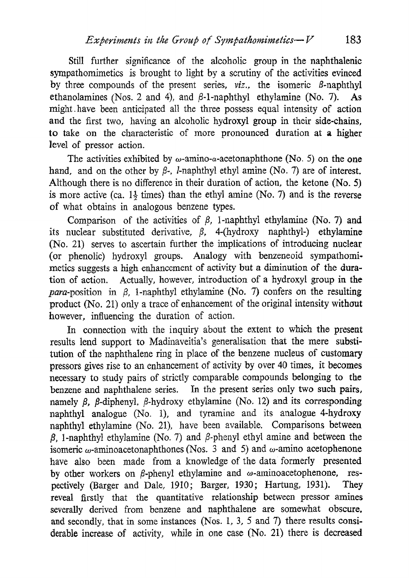Still further significance of the alcoholic group in the naphthalenic sympathomimetics is brought to light by a scrutiny of the activities evinced by three compounds of the present series, *viz.,* the isomeric B-naphthyl ethanolamines (Nos. 2 and 4), and  $\beta$ -1-naphthyl ethylamine (No. 7). might .have been anticipated all the three possess equal intensity of action and the first two, having an alcoholic hydroxyl group in their side-chains, to take on the characteristic of more pronounced duration at a higher level of pressor action.

The activities exhibited by  $\omega$ -amino-a-acetonaphthone (No. 5) on the one hand, and on the other by  $\beta$ -, *l*-naphthyl ethyl amine (No. 7) are of interest. Although there is no difference in their duration of action, the ketone (No. 5) is more active (ca.  $1\frac{1}{2}$  times) than the ethyl amine (No. 7) and is the reverse of what obtains in analogous benzene types.

Comparison of the activities of  $\beta$ , 1-naphthyl ethylamine (No. 7) and its nuclear substituted derivative,  $\beta$ , 4-(hydroxy naphthyl-) ethylamine (No. 21) serves to ascertain further the implications of introducing nuclear (or phenolic) hydroxyl groups. Analogy with benzeneoid sympathomimetics suggests a high enhancement of activity but a diminution of the duration of action. Actually, however, introduction of a hydroxyl group in the *para-position* in  $\beta$ , 1-naphthyl ethylamine (No. 7) confers on the resulting product (No. 21) only a trace of enhancement of the original intensity without however, influencing the duration of action.

In connection with the inquiry about the extent to which the present results lend support to Madinaveitia's generalisation that the mere substitution of the naphthalene ring in place of the benzene nucleus of customary pressors gives rise to an enhancement of activity by over 40 times, it becomes necessary to study pairs of strictly comparable compounds belonging to the benzene and naphthalene series. In the present series only two such pairs, namely  $\beta$ ,  $\beta$ -diphenyl,  $\beta$ -hydroxy ethylamine (No. 12) and its corresponding naphthyl analogue (No. 1), and tyramine and its analogue 4-hydroxy naphthyl ethylamine (No. 21), have been available. Comparisons between  $\beta$ , 1-naphthyl ethylamine (No. 7) and  $\beta$ -phenyl ethyl amine and between the isomeric  $\omega$ -aminoacetonaphthones (Nos. 3 and 5) and  $\omega$ -amino acetophenone have also been made from a knowledge of the data formerly presented by other workers on  $\beta$ -phenyl ethylamine and  $\omega$ -aminoacetophenone, respectively (Barger and Dale, 1910; Barger, 1930; Hartung, 1931). They reveal firstly that the quantitative relationship between pressor amines severally derived from benzene and naphthalene are somewhat obscure. and secondly, that in some instances (Nos. 1, 3, 5 and 7) there results considerable increase of activity, while in one case (No. 21) there is decreased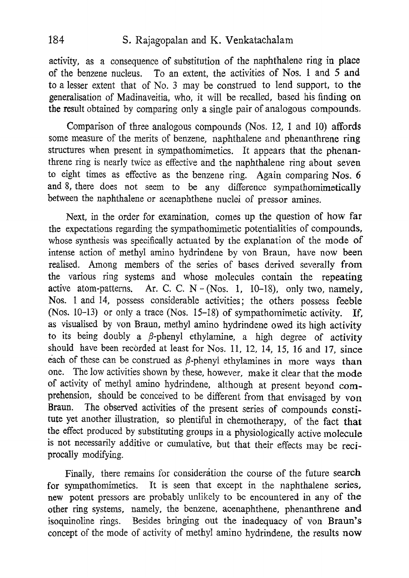activity, as a consequence of substitution of the naphthalene ring in place of the benzene nucleus. To an extent, the activities of Nos. 1 and 5 and to a lesser extent that of No. 3 may be construed to lend support, to the generalisation of Madinaveitia, who, it will be recalled, based his finding on the result obtained by comparing only a single pair of analogous compounds.

Comparison of three analogous compounds (Nos. 12, 1 and 10) affords some measure of the merits of benzene, naphthalene and phenanthrene ring structures when present in sympathomimetics. It appears that the phenanthrene ring is nearly twice as effective and the naphthalene ring about seven to eight times as effective as the benzene ring. Again comparing Nos. 6 and 8, there does not seem to be any difference sympathomimetically between the naphthalene or acenaphthene nuclei of pressor amines.

Next, in the order for examination, comes up the question of how far the expectations regarding the sympathomimetic potentialities of compounds, whose synthesis was specifically actuated by the explanation of the mode of intense action of methyl amino hydrindene by von Braun, have now been realised. Among members of the series of bases derived severally from the various ring systems and whose molecules contain the repeating active atom-patterns. Ar. C. C. N  $-(Nos. 1, 10-18)$ , only two, namely, Nos. 1 and 14, possess considerable activities; the others possess feeble (Nos. 10-13) or only a trace (Nos. 15-18) of sympathomimetic activity. If, as visualised by yon Braun, methyl amino hydrindene owed its high activity to its being doubly a  $\beta$ -phenyl ethylamine, a high degree of activity should have been recorded at least for Nos. 11, 12, 14, 15, 16 and 17, since each of these can be construed as  $\beta$ -phenyl ethylamines in more ways than one. The low activities shown by these, however, make it clear that the mode of activity of methyl amino hydrindene, although at present beyond comprehension, should be conceived to be different from that envisaged by yon Braun. The observed activities of the present series of compounds constitute yet another illustration, so plentiful in chemotherapy, of the fact that the effect produced by substituting groups in a physiologically active molecule is not necessarily additive or cumulative, but that their effects may be reciprocally modifying.

Finally, there remains for consideration the course of the future search for sympathomimetics. It is seen that except in the naphthalene series, new potent pressors are probably unlikely to be encountered in any of the other ring systems, namely, the benzene, acenaphthene, phenanthrene and isoquinoline rings. Besides bringing out the inadequacy of von Braun's concept of the mode of activity of methyl amino hydrindene, the results now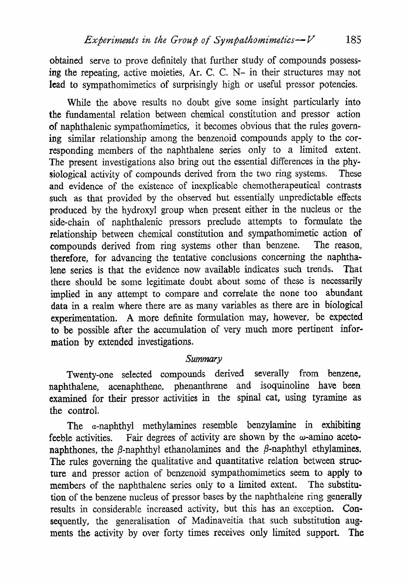obtained serve to prove definitely that further study of compounds possessing the repeating, active moieties, Ar. C. C. N- in their structures may not lead to sympathomimetics of surprisingly high or useful pressor potencies.

While the above results no doubt give some insight particularly into the fundamental reIation between chemical constitution and pressor action of naphthalenic sympathomimetics, it becomes obvious that the rules governing similar relationship among the benzeaoid compounds apply to the corresponding members of the naphthalene series only to a limited extent. The present investigations also bring out the essential differences ia the physiological activity of compounds derived from the two ring systems. These and evidence of the existence of inexplicable chemotherapeutical contrasts such as that provided by the observed but essentially unpredictable effects produced by the hydroxyl group when present either in the nucleus or the side-chain of naphthalenic pressors preclude attempts to formulate the relationship between chemical constitution and sympathomimetic action of compounds derived from ring systems other than benzene. The reason, therefore, for advancing the tentative conclusions concerning the naphthalene series is that the evidence now available indicates such trends. That there should be some legitimate doubt about some of these is necessarily implied in any attempt to compare and correlate the none too abundant data in a realm where there are as many variables as there are in biological experimentation. A more definite formulation may, however, be expected to be possible after the accumulation of very much more pertinent information by extended investigations.

### *Summary*

Twenty-one selected compounds derived severally from benzene, naphthalene, acenaphthene, phenanthrene and isoquinoline have been examined for their pressor activities in the spinal cat, using tyramine as the control.

The  $\alpha$ -naphthyl methylamines resemble benzylamine in exhibiting feeble activities. Fair degrees of activity are shown by the  $\omega$ -amino acetonaphthones, the  $\beta$ -naphthyl ethanolamines and the  $\beta$ -naphthyl ethylamines. The rules governing the qualitative and quantitative relation between structure and pressor action of benzenoid sympathomimetics seem to apply to members of the naphthalene series only to a limited extent. The substitution of the benzene nucleus of pressor bases by the naphthalene ring generally results in considerable increased activity, but this has an exception. Consequently, the generalisation of Madinaveitia that such substitution augments the activity by over forty times receives only limited support. The